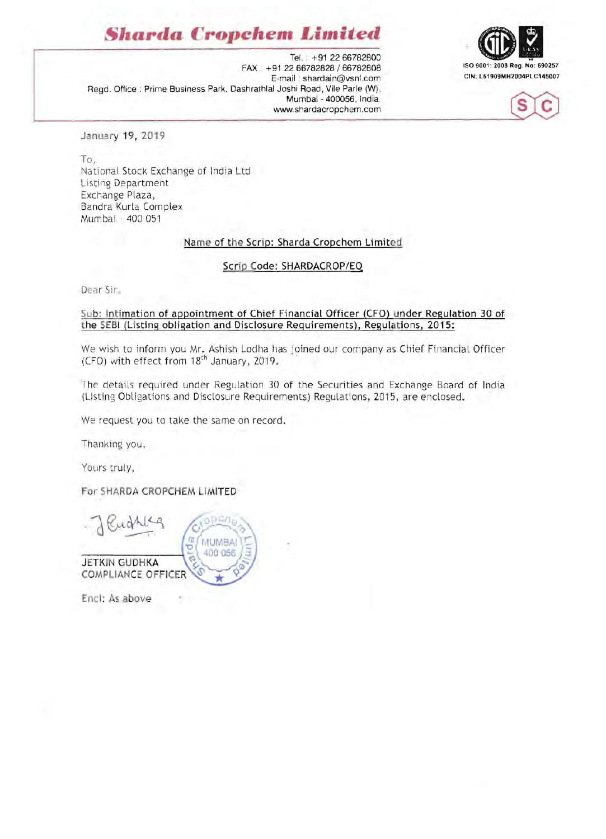# **Sharda Cropchem** *Limited*





Tel. : +91 2266782800 ISO 9001: 2008 Reg. No: 690257 FAX: +91 2266782828/66782808 E-mail: shardain@vsnl.com Regd. Office: Prime Business Park, Dashrathlal Joshi Road, Vile Parle (W), Mumbai - 400056, India. www.shardacropchem.com

January 19, 2019

To, National Stock Exchange of India Ltd Listing Department Exchange Plaza, Bandra Kurla Complex Mumbai - 400 051

### Name of the Scrip: Sharda Cropchem Limited

Scrip Code: SHARDACROP/EQ

Dear Sir,

#### Sub: Intimation of appointment of Chief Financial Officer (CFO) under Regulation 30 of the SEBI (Listing obligation and Disclosure Requirements), Regulations, 2015:

We wish to inform you Mr. Ashish Lodha has joined our company as Chief Financial Officer (CFO) with effect from 18<sup>th</sup> January, 2019.

The details required under Regulation 30 of the Securities and Exchange Board of India (Listing Obligations and Disclosure Requirements) Regulations, 2015, are enclosed.

We request you to take the same on record.

Thanking you,

Yours truly,

For SHARDA CROPCHEM LIMITED

da **MUMBAI** 400 056 **JETKIN GUDHKA** COMPLIANCE OFFICER

Enel: As above